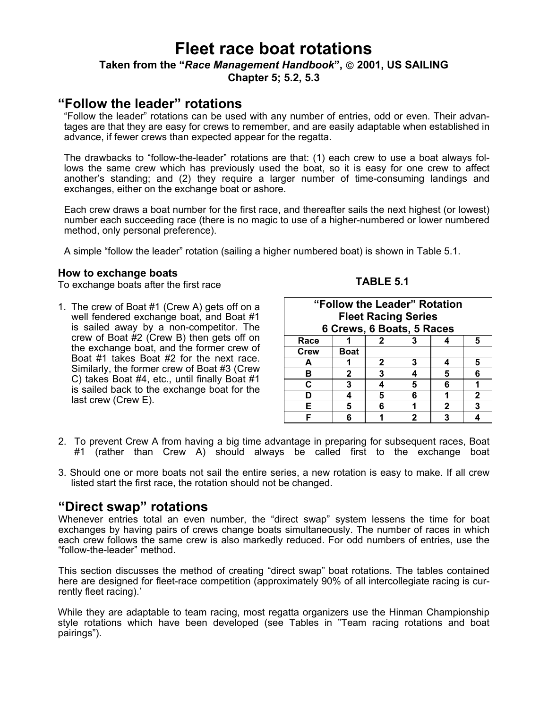# **Fleet race boat rotations**

## **Taken from the "***Race Management Handbook***", 2001, US SAILING Chapter 5; 5.2, 5.3**

# **"Follow the leader" rotations**

"Follow the leader" rotations can be used with any number of entries, odd or even. Their advantages are that they are easy for crews to remember, and are easily adaptable when established in advance, if fewer crews than expected appear for the regatta.

The drawbacks to "follow-the-leader" rotations are that: (1) each crew to use a boat always follows the same crew which has previously used the boat, so it is easy for one crew to affect another's standing; and (2) they require a larger number of time-consuming landings and exchanges, either on the exchange boat or ashore.

Each crew draws a boat number for the first race, and thereafter sails the next highest (or lowest) number each succeeding race (there is no magic to use of a higher-numbered or lower numbered method, only personal preference).

A simple "follow the leader" rotation (sailing a higher numbered boat) is shown in Table 5.1.

#### **How to exchange boats**

To exchange boats after the first race

1. The crew of Boat #1 (Crew A) gets off on a well fendered exchange boat, and Boat #1 is sailed away by a non-competitor. The crew of Boat #2 (Crew B) then gets off on the exchange boat, and the former crew of Boat #1 takes Boat #2 for the next race. Similarly, the former crew of Boat #3 (Crew C) takes Boat #4, etc., until finally Boat #1 is sailed back to the exchange boat for the last crew (Crew E).

# **TABLE 5.1**

| "Follow the Leader" Rotation<br><b>Fleet Racing Series</b><br>6 Crews, 6 Boats, 5 Races |              |              |   |   |              |  |  |
|-----------------------------------------------------------------------------------------|--------------|--------------|---|---|--------------|--|--|
| Race                                                                                    |              | $\mathbf{2}$ |   |   | 5            |  |  |
| <b>Crew</b>                                                                             | Boat         |              |   |   |              |  |  |
| A                                                                                       |              | $\mathbf{2}$ | 3 | Δ | 5            |  |  |
| в                                                                                       | $\mathbf{2}$ | 3            |   | 5 | 6            |  |  |
| C                                                                                       | 3            |              | 5 | 6 |              |  |  |
|                                                                                         |              | 5            | 6 |   | $\mathbf{2}$ |  |  |
| Е                                                                                       |              | ĥ            |   | 2 | 3            |  |  |
|                                                                                         |              |              |   | 3 |              |  |  |

- 2. To prevent Crew A from having a big time advantage in preparing for subsequent races, Boat #1 (rather than Crew A) should always be called first to the exchange boat
- 3. Should one or more boats not sail the entire series, a new rotation is easy to make. If all crew listed start the first race, the rotation should not be changed.

# **"Direct swap" rotations**

Whenever entries total an even number, the "direct swap" system lessens the time for boat exchanges by having pairs of crews change boats simultaneously. The number of races in which each crew follows the same crew is also markedly reduced. For odd numbers of entries, use the "follow-the-leader" method.

This section discusses the method of creating "direct swap" boat rotations. The tables contained here are designed for fleet-race competition (approximately 90% of all intercollegiate racing is currently fleet racing).'

While they are adaptable to team racing, most regatta organizers use the Hinman Championship style rotations which have been developed (see Tables in "Team racing rotations and boat pairings").